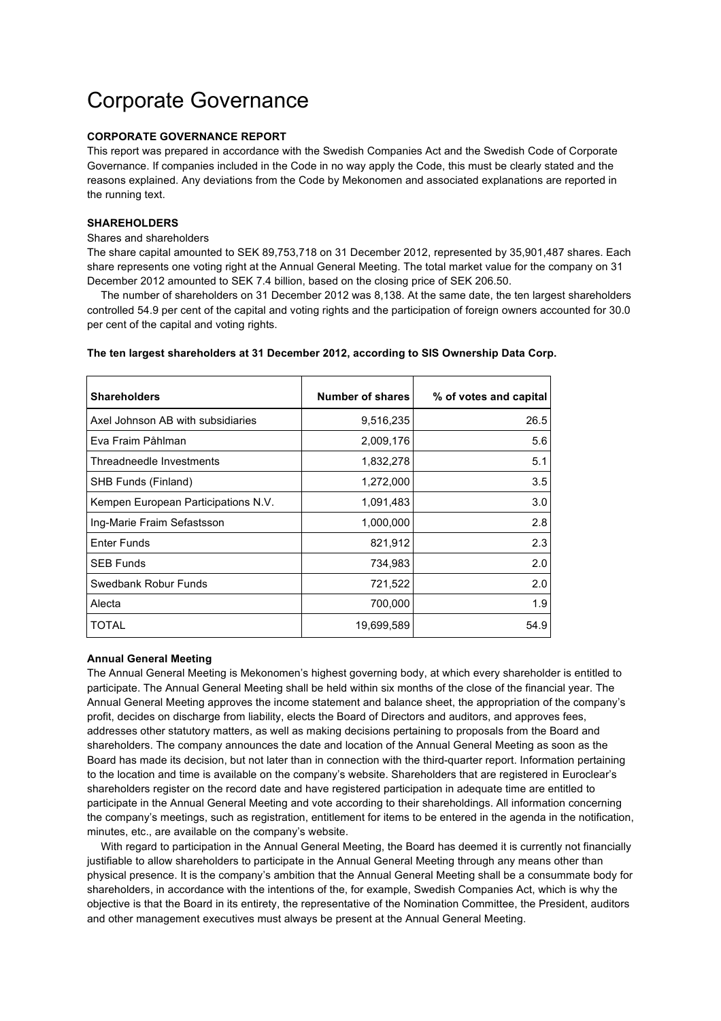# Corporate Governance

### **CORPORATE GOVERNANCE REPORT**

This report was prepared in accordance with the Swedish Companies Act and the Swedish Code of Corporate Governance. If companies included in the Code in no way apply the Code, this must be clearly stated and the reasons explained. Any deviations from the Code by Mekonomen and associated explanations are reported in the running text.

# **SHAREHOLDERS**

#### Shares and shareholders

The share capital amounted to SEK 89,753,718 on 31 December 2012, represented by 35,901,487 shares. Each share represents one voting right at the Annual General Meeting. The total market value for the company on 31 December 2012 amounted to SEK 7.4 billion, based on the closing price of SEK 206.50.

The number of shareholders on 31 December 2012 was 8,138. At the same date, the ten largest shareholders controlled 54.9 per cent of the capital and voting rights and the participation of foreign owners accounted for 30.0 per cent of the capital and voting rights.

#### **The ten largest shareholders at 31 December 2012, according to SIS Ownership Data Corp.**

| <b>Shareholders</b>                 | Number of shares | % of votes and capital |
|-------------------------------------|------------------|------------------------|
| Axel Johnson AB with subsidiaries   | 9,516,235        | 26.5                   |
| Eva Fraim Påhlman                   | 2,009,176        | 5.6                    |
| Threadneedle Investments            | 1,832,278        | 5.1                    |
| SHB Funds (Finland)                 | 1,272,000        | 3.5                    |
| Kempen European Participations N.V. | 1,091,483        | 3.0                    |
| Ing-Marie Fraim Sefastsson          | 1,000,000        | 2.8                    |
| <b>Enter Funds</b>                  | 821,912          | 2.3                    |
| <b>SEB Funds</b>                    | 734,983          | 2.0                    |
| Swedbank Robur Funds                | 721,522          | 2.0                    |
| Alecta                              | 700,000          | 1.9                    |
| TOTAL                               | 19,699,589       | 54.9                   |

#### **Annual General Meeting**

The Annual General Meeting is Mekonomen's highest governing body, at which every shareholder is entitled to participate. The Annual General Meeting shall be held within six months of the close of the financial year. The Annual General Meeting approves the income statement and balance sheet, the appropriation of the company's profit, decides on discharge from liability, elects the Board of Directors and auditors, and approves fees, addresses other statutory matters, as well as making decisions pertaining to proposals from the Board and shareholders. The company announces the date and location of the Annual General Meeting as soon as the Board has made its decision, but not later than in connection with the third-quarter report. Information pertaining to the location and time is available on the company's website. Shareholders that are registered in Euroclear's shareholders register on the record date and have registered participation in adequate time are entitled to participate in the Annual General Meeting and vote according to their shareholdings. All information concerning the company's meetings, such as registration, entitlement for items to be entered in the agenda in the notification, minutes, etc., are available on the company's website.

With regard to participation in the Annual General Meeting, the Board has deemed it is currently not financially justifiable to allow shareholders to participate in the Annual General Meeting through any means other than physical presence. It is the company's ambition that the Annual General Meeting shall be a consummate body for shareholders, in accordance with the intentions of the, for example, Swedish Companies Act, which is why the objective is that the Board in its entirety, the representative of the Nomination Committee, the President, auditors and other management executives must always be present at the Annual General Meeting.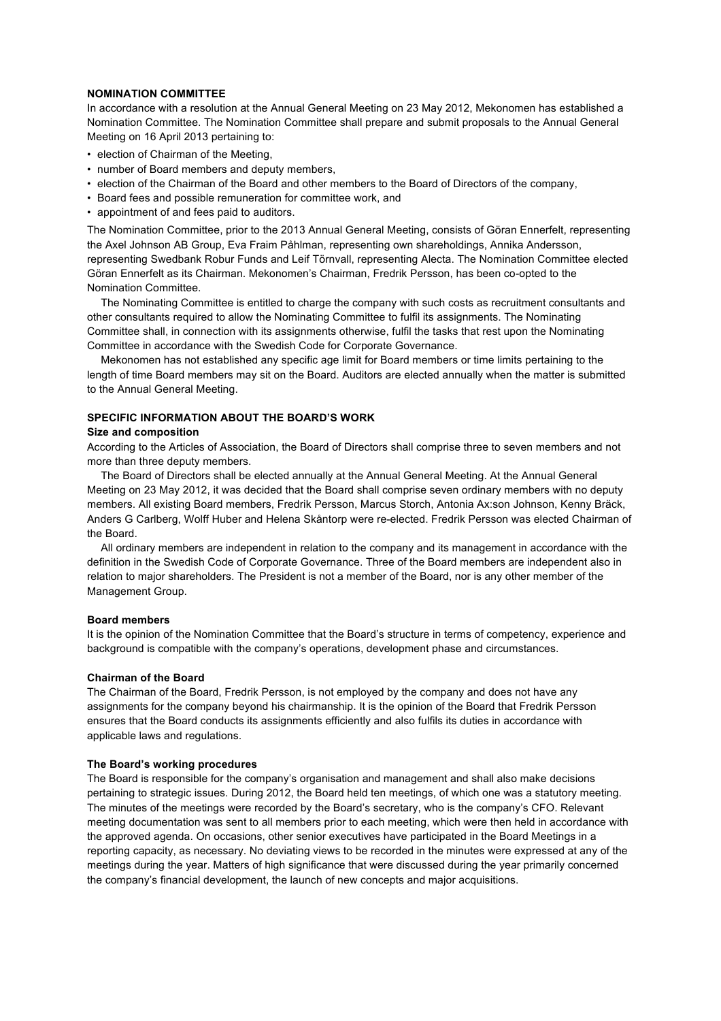# **NOMINATION COMMITTEE**

In accordance with a resolution at the Annual General Meeting on 23 May 2012, Mekonomen has established a Nomination Committee. The Nomination Committee shall prepare and submit proposals to the Annual General Meeting on 16 April 2013 pertaining to:

- election of Chairman of the Meeting,
- number of Board members and deputy members,
- election of the Chairman of the Board and other members to the Board of Directors of the company,
- Board fees and possible remuneration for committee work, and
- appointment of and fees paid to auditors.

The Nomination Committee, prior to the 2013 Annual General Meeting, consists of Göran Ennerfelt, representing the Axel Johnson AB Group, Eva Fraim Påhlman, representing own shareholdings, Annika Andersson, representing Swedbank Robur Funds and Leif Törnvall, representing Alecta. The Nomination Committee elected Göran Ennerfelt as its Chairman. Mekonomen's Chairman, Fredrik Persson, has been co-opted to the Nomination Committee.

The Nominating Committee is entitled to charge the company with such costs as recruitment consultants and other consultants required to allow the Nominating Committee to fulfil its assignments. The Nominating Committee shall, in connection with its assignments otherwise, fulfil the tasks that rest upon the Nominating Committee in accordance with the Swedish Code for Corporate Governance.

Mekonomen has not established any specific age limit for Board members or time limits pertaining to the length of time Board members may sit on the Board. Auditors are elected annually when the matter is submitted to the Annual General Meeting.

# **SPECIFIC INFORMATION ABOUT THE BOARD'S WORK**

#### **Size and composition**

According to the Articles of Association, the Board of Directors shall comprise three to seven members and not more than three deputy members.

The Board of Directors shall be elected annually at the Annual General Meeting. At the Annual General Meeting on 23 May 2012, it was decided that the Board shall comprise seven ordinary members with no deputy members. All existing Board members, Fredrik Persson, Marcus Storch, Antonia Ax:son Johnson, Kenny Bräck, Anders G Carlberg, Wolff Huber and Helena Skåntorp were re-elected. Fredrik Persson was elected Chairman of the Board.

All ordinary members are independent in relation to the company and its management in accordance with the definition in the Swedish Code of Corporate Governance. Three of the Board members are independent also in relation to major shareholders. The President is not a member of the Board, nor is any other member of the Management Group.

#### **Board members**

It is the opinion of the Nomination Committee that the Board's structure in terms of competency, experience and background is compatible with the company's operations, development phase and circumstances.

#### **Chairman of the Board**

The Chairman of the Board, Fredrik Persson, is not employed by the company and does not have any assignments for the company beyond his chairmanship. It is the opinion of the Board that Fredrik Persson ensures that the Board conducts its assignments efficiently and also fulfils its duties in accordance with applicable laws and regulations.

#### **The Board's working procedures**

The Board is responsible for the company's organisation and management and shall also make decisions pertaining to strategic issues. During 2012, the Board held ten meetings, of which one was a statutory meeting. The minutes of the meetings were recorded by the Board's secretary, who is the company's CFO. Relevant meeting documentation was sent to all members prior to each meeting, which were then held in accordance with the approved agenda. On occasions, other senior executives have participated in the Board Meetings in a reporting capacity, as necessary. No deviating views to be recorded in the minutes were expressed at any of the meetings during the year. Matters of high significance that were discussed during the year primarily concerned the company's financial development, the launch of new concepts and major acquisitions.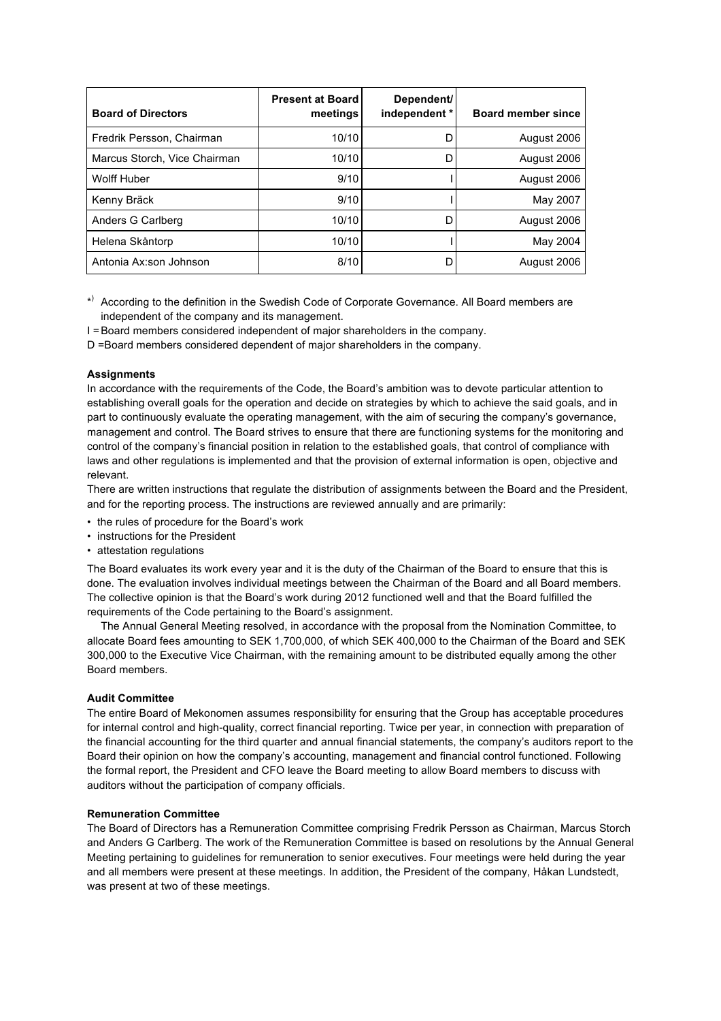| <b>Board of Directors</b>    | <b>Present at Board</b><br>meetings | Dependent/<br>independent * | <b>Board member since</b> |
|------------------------------|-------------------------------------|-----------------------------|---------------------------|
| Fredrik Persson, Chairman    | 10/10                               | D                           | August 2006               |
| Marcus Storch, Vice Chairman | 10/10                               | D                           | August 2006               |
| Wolff Huber                  | 9/10                                |                             | August 2006               |
| Kenny Bräck                  | 9/10                                |                             | May 2007                  |
| Anders G Carlberg            | 10/10                               | D                           | August 2006               |
| Helena Skåntorp              | 10/10                               |                             | May 2004                  |
| Antonia Ax:son Johnson       | 8/10                                | D                           | August 2006               |

- \*) According to the definition in the Swedish Code of Corporate Governance. All Board members are independent of the company and its management.
- I =Board members considered independent of major shareholders in the company.
- D =Board members considered dependent of major shareholders in the company.

# **Assignments**

In accordance with the requirements of the Code, the Board's ambition was to devote particular attention to establishing overall goals for the operation and decide on strategies by which to achieve the said goals, and in part to continuously evaluate the operating management, with the aim of securing the company's governance, management and control. The Board strives to ensure that there are functioning systems for the monitoring and control of the company's financial position in relation to the established goals, that control of compliance with laws and other regulations is implemented and that the provision of external information is open, objective and relevant.

There are written instructions that regulate the distribution of assignments between the Board and the President, and for the reporting process. The instructions are reviewed annually and are primarily:

- the rules of procedure for the Board's work
- instructions for the President
- attestation regulations

The Board evaluates its work every year and it is the duty of the Chairman of the Board to ensure that this is done. The evaluation involves individual meetings between the Chairman of the Board and all Board members. The collective opinion is that the Board's work during 2012 functioned well and that the Board fulfilled the requirements of the Code pertaining to the Board's assignment.

The Annual General Meeting resolved, in accordance with the proposal from the Nomination Committee, to allocate Board fees amounting to SEK 1,700,000, of which SEK 400,000 to the Chairman of the Board and SEK 300,000 to the Executive Vice Chairman, with the remaining amount to be distributed equally among the other Board members.

### **Audit Committee**

The entire Board of Mekonomen assumes responsibility for ensuring that the Group has acceptable procedures for internal control and high-quality, correct financial reporting. Twice per year, in connection with preparation of the financial accounting for the third quarter and annual financial statements, the company's auditors report to the Board their opinion on how the company's accounting, management and financial control functioned. Following the formal report, the President and CFO leave the Board meeting to allow Board members to discuss with auditors without the participation of company officials.

# **Remuneration Committee**

The Board of Directors has a Remuneration Committee comprising Fredrik Persson as Chairman, Marcus Storch and Anders G Carlberg. The work of the Remuneration Committee is based on resolutions by the Annual General Meeting pertaining to guidelines for remuneration to senior executives. Four meetings were held during the year and all members were present at these meetings. In addition, the President of the company, Håkan Lundstedt, was present at two of these meetings.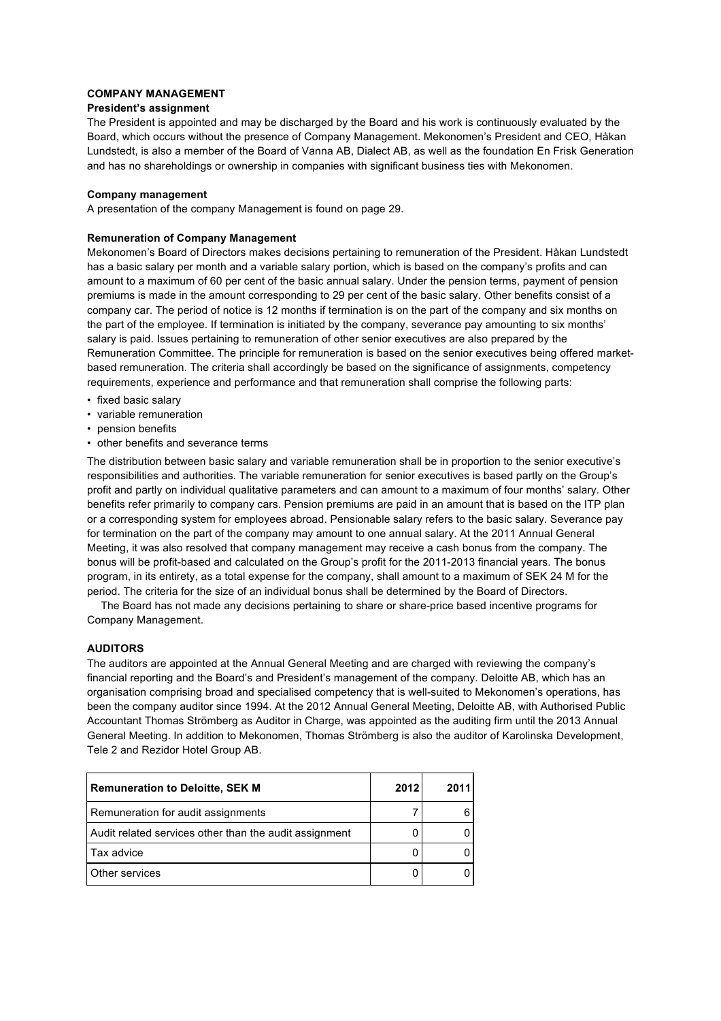## **COMPANY MANAGEMENT**

## **President's assignment**

The President is appointed and may be discharged by the Board and his work is continuously evaluated by the Board, which occurs without the presence of Company Management. Mekonomen's President and CEO, Håkan Lundstedt, is also a member of the Board of Vanna AB, Dialect AB, as well as the foundation En Frisk Generation and has no shareholdings or ownership in companies with significant business ties with Mekonomen.

# **Company management**

A presentation of the company Management is found on page 29.

# **Remuneration of Company Management**

Mekonomen's Board of Directors makes decisions pertaining to remuneration of the President. Håkan Lundstedt has a basic salary per month and a variable salary portion, which is based on the company's profits and can amount to a maximum of 60 per cent of the basic annual salary. Under the pension terms, payment of pension premiums is made in the amount corresponding to 29 per cent of the basic salary. Other benefits consist of a company car. The period of notice is 12 months if termination is on the part of the company and six months on the part of the employee. If termination is initiated by the company, severance pay amounting to six months' salary is paid. Issues pertaining to remuneration of other senior executives are also prepared by the Remuneration Committee. The principle for remuneration is based on the senior executives being offered marketbased remuneration. The criteria shall accordingly be based on the significance of assignments, competency requirements, experience and performance and that remuneration shall comprise the following parts:

- fixed basic salary
- variable remuneration
- pension benefits
- other benefits and severance terms

The distribution between basic salary and variable remuneration shall be in proportion to the senior executive's responsibilities and authorities. The variable remuneration for senior executives is based partly on the Group's profit and partly on individual qualitative parameters and can amount to a maximum of four months' salary. Other benefits refer primarily to company cars. Pension premiums are paid in an amount that is based on the ITP plan or a corresponding system for employees abroad. Pensionable salary refers to the basic salary. Severance pay for termination on the part of the company may amount to one annual salary. At the 2011 Annual General Meeting, it was also resolved that company management may receive a cash bonus from the company. The bonus will be profit-based and calculated on the Group's profit for the 2011-2013 financial years. The bonus program, in its entirety, as a total expense for the company, shall amount to a maximum of SEK 24 M for the period. The criteria for the size of an individual bonus shall be determined by the Board of Directors.

The Board has not made any decisions pertaining to share or share-price based incentive programs for Company Management.

# **AUDITORS**

The auditors are appointed at the Annual General Meeting and are charged with reviewing the company's financial reporting and the Board's and President's management of the company. Deloitte AB, which has an organisation comprising broad and specialised competency that is well-suited to Mekonomen's operations, has been the company auditor since 1994. At the 2012 Annual General Meeting, Deloitte AB, with Authorised Public Accountant Thomas Strömberg as Auditor in Charge, was appointed as the auditing firm until the 2013 Annual General Meeting. In addition to Mekonomen, Thomas Strömberg is also the auditor of Karolinska Development, Tele 2 and Rezidor Hotel Group AB.

| <b>Remuneration to Deloitte, SEK M</b>                 | 2012 | 2011 |
|--------------------------------------------------------|------|------|
| Remuneration for audit assignments                     |      |      |
| Audit related services other than the audit assignment |      |      |
| Tax advice                                             |      |      |
| Other services                                         |      |      |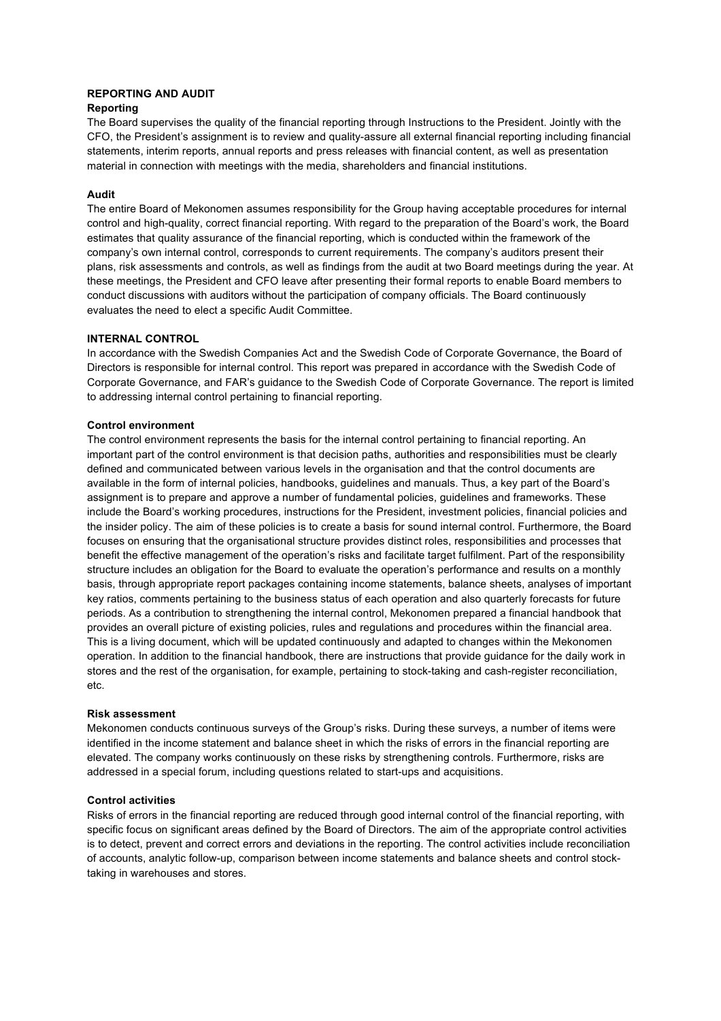# **REPORTING AND AUDIT**

# **Reporting**

The Board supervises the quality of the financial reporting through Instructions to the President. Jointly with the CFO, the President's assignment is to review and quality-assure all external financial reporting including financial statements, interim reports, annual reports and press releases with financial content, as well as presentation material in connection with meetings with the media, shareholders and financial institutions.

# **Audit**

The entire Board of Mekonomen assumes responsibility for the Group having acceptable procedures for internal control and high-quality, correct financial reporting. With regard to the preparation of the Board's work, the Board estimates that quality assurance of the financial reporting, which is conducted within the framework of the company's own internal control, corresponds to current requirements. The company's auditors present their plans, risk assessments and controls, as well as findings from the audit at two Board meetings during the year. At these meetings, the President and CFO leave after presenting their formal reports to enable Board members to conduct discussions with auditors without the participation of company officials. The Board continuously evaluates the need to elect a specific Audit Committee.

# **INTERNAL CONTROL**

In accordance with the Swedish Companies Act and the Swedish Code of Corporate Governance, the Board of Directors is responsible for internal control. This report was prepared in accordance with the Swedish Code of Corporate Governance, and FAR's guidance to the Swedish Code of Corporate Governance. The report is limited to addressing internal control pertaining to financial reporting.

# **Control environment**

The control environment represents the basis for the internal control pertaining to financial reporting. An important part of the control environment is that decision paths, authorities and responsibilities must be clearly defined and communicated between various levels in the organisation and that the control documents are available in the form of internal policies, handbooks, guidelines and manuals. Thus, a key part of the Board's assignment is to prepare and approve a number of fundamental policies, guidelines and frameworks. These include the Board's working procedures, instructions for the President, investment policies, financial policies and the insider policy. The aim of these policies is to create a basis for sound internal control. Furthermore, the Board focuses on ensuring that the organisational structure provides distinct roles, responsibilities and processes that benefit the effective management of the operation's risks and facilitate target fulfilment. Part of the responsibility structure includes an obligation for the Board to evaluate the operation's performance and results on a monthly basis, through appropriate report packages containing income statements, balance sheets, analyses of important key ratios, comments pertaining to the business status of each operation and also quarterly forecasts for future periods. As a contribution to strengthening the internal control, Mekonomen prepared a financial handbook that provides an overall picture of existing policies, rules and regulations and procedures within the financial area. This is a living document, which will be updated continuously and adapted to changes within the Mekonomen operation. In addition to the financial handbook, there are instructions that provide guidance for the daily work in stores and the rest of the organisation, for example, pertaining to stock-taking and cash-register reconciliation, etc.

#### **Risk assessment**

Mekonomen conducts continuous surveys of the Group's risks. During these surveys, a number of items were identified in the income statement and balance sheet in which the risks of errors in the financial reporting are elevated. The company works continuously on these risks by strengthening controls. Furthermore, risks are addressed in a special forum, including questions related to start-ups and acquisitions.

#### **Control activities**

Risks of errors in the financial reporting are reduced through good internal control of the financial reporting, with specific focus on significant areas defined by the Board of Directors. The aim of the appropriate control activities is to detect, prevent and correct errors and deviations in the reporting. The control activities include reconciliation of accounts, analytic follow-up, comparison between income statements and balance sheets and control stocktaking in warehouses and stores.